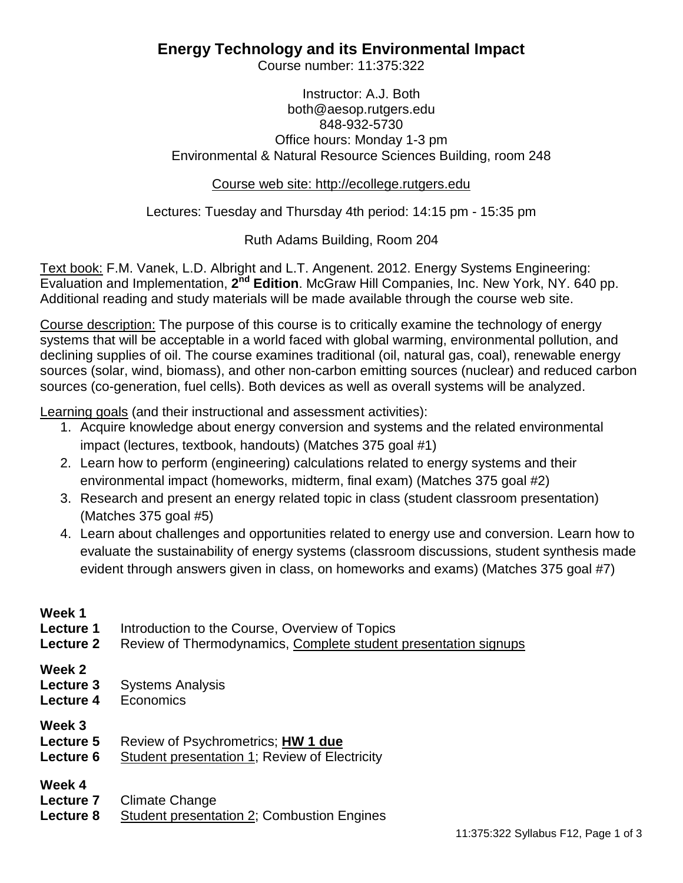## **Energy Technology and its Environmental Impact**

Course number: 11:375:322

## Instructor: A.J. Both both@aesop.rutgers.edu 848-932-5730 Office hours: Monday 1-3 pm Environmental & Natural Resource Sciences Building, room 248

## Course web site: http://ecollege.rutgers.edu

Lectures: Tuesday and Thursday 4th period: 14:15 pm - 15:35 pm

## Ruth Adams Building, Room 204

Text book: F.M. Vanek, L.D. Albright and L.T. Angenent. 2012. Energy Systems Engineering: Evaluation and Implementation, **2nd Edition**. McGraw Hill Companies, Inc. New York, NY. 640 pp. Additional reading and study materials will be made available through the course web site.

Course description: The purpose of this course is to critically examine the technology of energy systems that will be acceptable in a world faced with global warming, environmental pollution, and declining supplies of oil. The course examines traditional (oil, natural gas, coal), renewable energy sources (solar, wind, biomass), and other non-carbon emitting sources (nuclear) and reduced carbon sources (co-generation, fuel cells). Both devices as well as overall systems will be analyzed.

Learning goals (and their instructional and assessment activities):

- 1. Acquire knowledge about energy conversion and systems and the related environmental impact (lectures, textbook, handouts) (Matches 375 goal #1)
- 2. Learn how to perform (engineering) calculations related to energy systems and their environmental impact (homeworks, midterm, final exam) (Matches 375 goal #2)
- 3. Research and present an energy related topic in class (student classroom presentation) (Matches 375 goal #5)
- 4. Learn about challenges and opportunities related to energy use and conversion. Learn how to evaluate the sustainability of energy systems (classroom discussions, student synthesis made evident through answers given in class, on homeworks and exams) (Matches 375 goal #7)

| Week 1<br><b>Lecture 1</b><br>Lecture 2 | Introduction to the Course, Overview of Topics<br>Review of Thermodynamics, Complete student presentation signups |
|-----------------------------------------|-------------------------------------------------------------------------------------------------------------------|
| <b>Week 2</b><br>Lecture 3<br>Lecture 4 | <b>Systems Analysis</b><br>Economics                                                                              |
| Week 3<br><b>Lecture 5</b><br>Lecture 6 | Review of Psychrometrics; HW 1 due<br>Student presentation 1; Review of Electricity                               |
| Week 4<br>Lecture 7<br>Lecture 8        | Climate Change<br><b>Student presentation 2; Combustion Engines</b>                                               |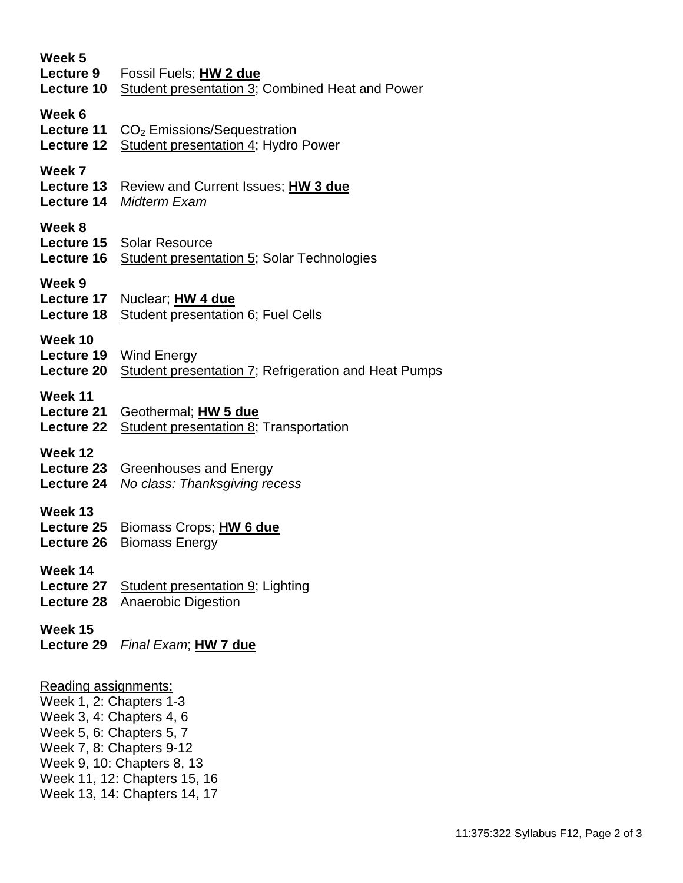| Week 5<br>Lecture 9<br>Lecture 10                                                                       | Fossil Fuels; HW 2 due<br>Student presentation 3; Combined Heat and Power                                              |
|---------------------------------------------------------------------------------------------------------|------------------------------------------------------------------------------------------------------------------------|
| Week 6<br>Lecture 11<br>Lecture 12                                                                      | $CO2$ Emissions/Sequestration<br>Student presentation 4; Hydro Power                                                   |
| Week 7<br>Lecture 13<br>Lecture 14                                                                      | Review and Current Issues; HW 3 due<br><b>Midterm Exam</b>                                                             |
| Week 8<br><b>Lecture 15</b><br>Lecture 16                                                               | <b>Solar Resource</b><br><b>Student presentation 5; Solar Technologies</b>                                             |
| Week 9<br>Lecture 17<br>Lecture 18                                                                      | Nuclear; HW 4 due<br><b>Student presentation 6; Fuel Cells</b>                                                         |
| Week 10<br>Lecture 19<br><b>Lecture 20</b>                                                              | <b>Wind Energy</b><br><b>Student presentation 7; Refrigeration and Heat Pumps</b>                                      |
| Week 11<br>Lecture 21<br><b>Lecture 22</b>                                                              | Geothermal; HW 5 due<br>Student presentation 8; Transportation                                                         |
| Week 12<br>Lecture 23<br>Lecture 24                                                                     | Greenhouses and Energy<br>No class: Thanksgiving recess                                                                |
| Week 13<br>Lecture 25<br>Lecture 26                                                                     | Biomass Crops; <b>HW 6 due</b><br><b>Biomass Energy</b>                                                                |
| Week 14<br><b>Lecture 27</b><br><b>Lecture 28</b>                                                       | Student presentation 9; Lighting<br><b>Anaerobic Digestion</b>                                                         |
| Week 15<br>Lecture 29                                                                                   | Final Exam; <b>HW 7 due</b>                                                                                            |
| Reading assignments:<br>Week 1, 2: Chapters 1-3<br>Week 3, 4: Chapters 4, 6<br>Week 5, 6: Chapters 5, 7 | Week 7, 8: Chapters 9-12<br>Week 9, 10: Chapters 8, 13<br>Week 11, 12: Chapters 15, 16<br>Week 13, 14: Chapters 14, 17 |